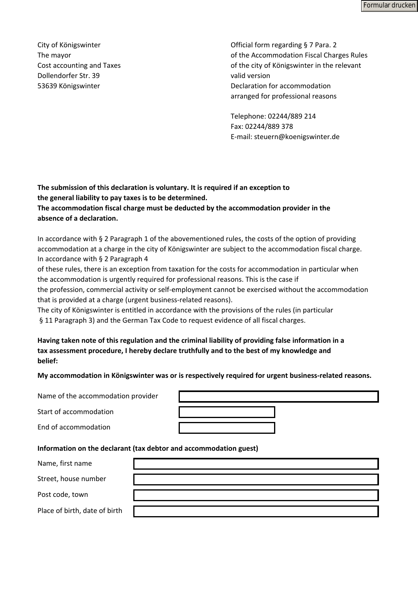Formular drucken

Dollendorfer Str. 39 valid version

City of Königswinter Official form regarding § 7 Para. 2 The mayor **The mayor** of the Accommodation Fiscal Charges Rules Cost accounting and Taxes **of the city of Königswinter in the relevant** 53639 Königswinter Declaration for accommodation arranged for professional reasons

> Telephone: 02244/889 214 Fax: 02244/889 378 E-mail: steuern@koenigswinter.de

**The submission of this declaration is voluntary. It is required if an exception to the general liability to pay taxes is to be determined. The accommodation fiscal charge must be deducted by the accommodation provider in the absence of a declaration.**

In accordance with § 2 Paragraph 1 of the abovementioned rules, the costs of the option of providing accommodation at a charge in the city of Königswinter are subject to the accommodation fiscal charge. In accordance with § 2 Paragraph 4

of these rules, there is an exception from taxation for the costs for accommodation in particular when the accommodation is urgently required for professional reasons. This is the case if

the profession, commercial activity or self-employment cannot be exercised without the accommodation that is provided at a charge (urgent business-related reasons).

The city of Königswinter is entitled in accordance with the provisions of the rules (in particular § 11 Paragraph 3) and the German Tax Code to request evidence of all fiscal charges.

**Having taken note of this regulation and the criminal liability of providing false information in a tax assessment procedure, I hereby declare truthfully and to the best of my knowledge and belief:**

**My accommodation in Königswinter was or is respectively required for urgent business-related reasons.**

Name of the accommodation provider

Start of accommodation

End of accommodation

## **Information on the declarant (tax debtor and accommodation guest)**

Name, first name

Street, house number

Post code, town

Place of birth, date of birth